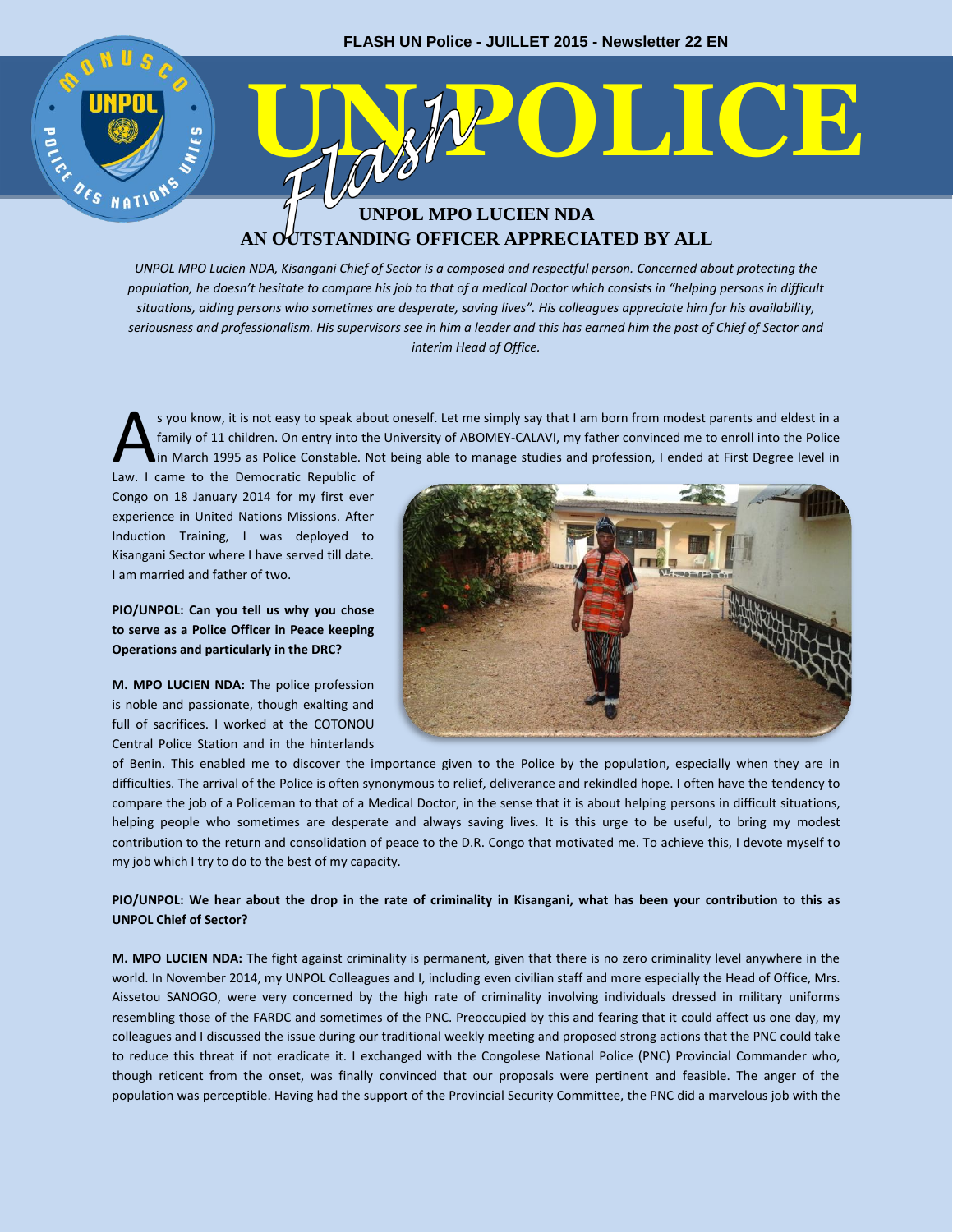# **ENERGIST COLLECTE UNPOL MPO LUCIEN NDA AN OUTSTANDING OFFICER APPRECIATED BY ALL**

*UNPOL MPO Lucien NDA, Kisangani Chief of Sector is a composed and respectful person. Concerned about protecting the population, he doesn't hesitate to compare his job to that of a medical Doctor which consists in "helping persons in difficult situations, aiding persons who sometimes are desperate, saving lives". His colleagues appreciate him for his availability, seriousness and professionalism. His supervisors see in him a leader and this has earned him the post of Chief of Sector and interim Head of Office.*

s you know, it is not easy to speak about oneself. Let me simply say that I am born from modest parents and eldest in a family of 11 children. On entry into the University of ABOMEY-CALAVI, my father convinced me to enroll into the Police in March 1995 as Police Constable. Not being able to manage studies and profession, I ended at First Degree level in S you know, it is not easy to speak abo<br>
family of 11 children. On entry into the<br>
in March 1995 as Police Constable. No<br>
Law. I came to the Democratic Republic of

Congo on 18 January 2014 for my first ever experience in United Nations Missions. After Induction Training, I was deployed to Kisangani Sector where I have served till date. I am married and father of two.

30

**PIO/UNPOL: Can you tell us why you chose to serve as a Police Officer in Peace keeping Operations and particularly in the DRC?**

**M. MPO LUCIEN NDA:** The police profession is noble and passionate, though exalting and full of sacrifices. I worked at the COTONOU Central Police Station and in the hinterlands



of Benin. This enabled me to discover the importance given to the Police by the population, especially when they are in difficulties. The arrival of the Police is often synonymous to relief, deliverance and rekindled hope. I often have the tendency to compare the job of a Policeman to that of a Medical Doctor, in the sense that it is about helping persons in difficult situations, helping people who sometimes are desperate and always saving lives. It is this urge to be useful, to bring my modest contribution to the return and consolidation of peace to the D.R. Congo that motivated me. To achieve this, I devote myself to my job which I try to do to the best of my capacity.

### **PIO/UNPOL: We hear about the drop in the rate of criminality in Kisangani, what has been your contribution to this as UNPOL Chief of Sector?**

**M. MPO LUCIEN NDA:** The fight against criminality is permanent, given that there is no zero criminality level anywhere in the world. In November 2014, my UNPOL Colleagues and I, including even civilian staff and more especially the Head of Office, Mrs. Aissetou SANOGO, were very concerned by the high rate of criminality involving individuals dressed in military uniforms resembling those of the FARDC and sometimes of the PNC. Preoccupied by this and fearing that it could affect us one day, my colleagues and I discussed the issue during our traditional weekly meeting and proposed strong actions that the PNC could take to reduce this threat if not eradicate it. I exchanged with the Congolese National Police (PNC) Provincial Commander who, though reticent from the onset, was finally convinced that our proposals were pertinent and feasible. The anger of the population was perceptible. Having had the support of the Provincial Security Committee, the PNC did a marvelous job with the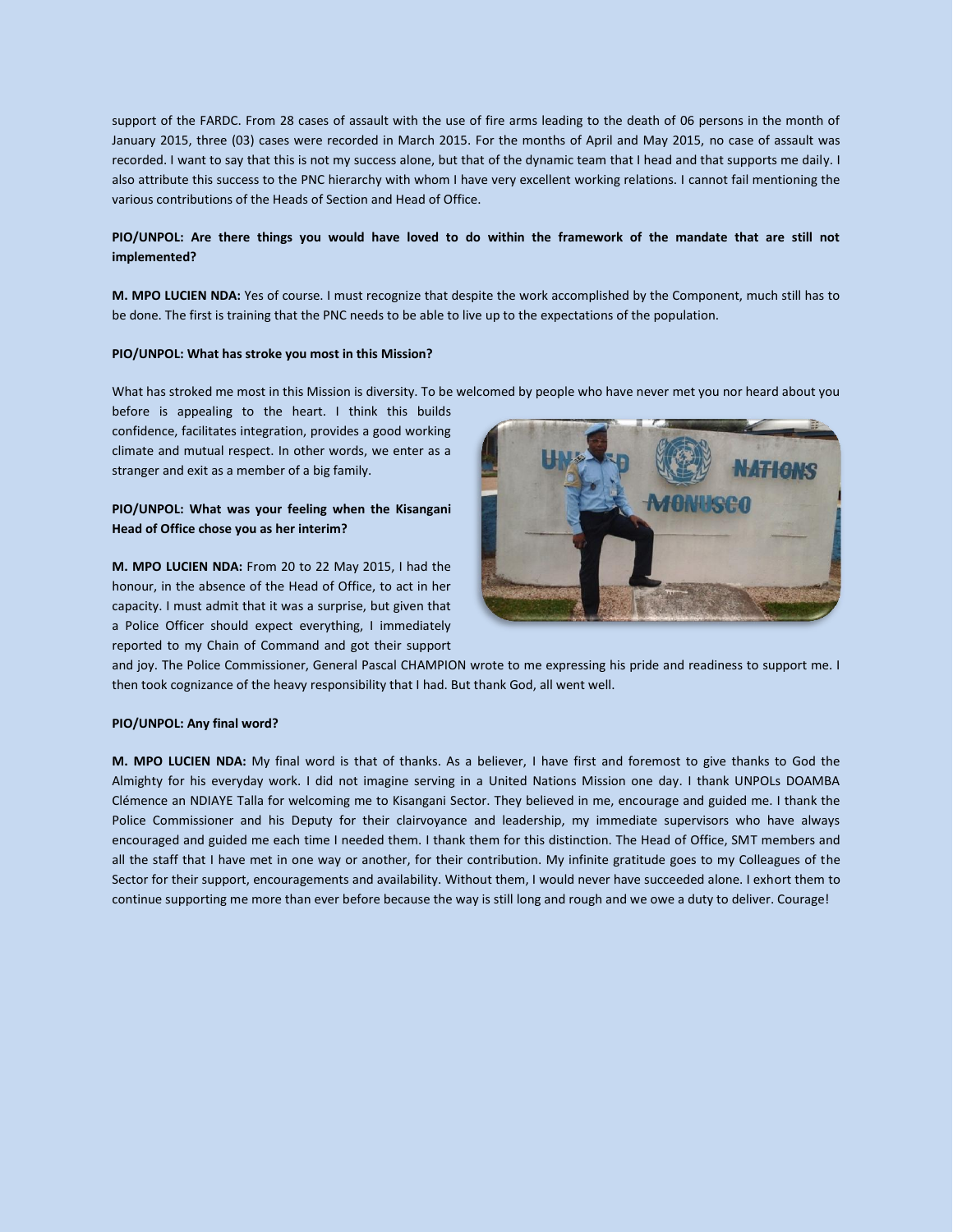support of the FARDC. From 28 cases of assault with the use of fire arms leading to the death of 06 persons in the month of January 2015, three (03) cases were recorded in March 2015. For the months of April and May 2015, no case of assault was recorded. I want to say that this is not my success alone, but that of the dynamic team that I head and that supports me daily. I also attribute this success to the PNC hierarchy with whom I have very excellent working relations. I cannot fail mentioning the various contributions of the Heads of Section and Head of Office.

#### **PIO/UNPOL: Are there things you would have loved to do within the framework of the mandate that are still not implemented?**

**M. MPO LUCIEN NDA:** Yes of course. I must recognize that despite the work accomplished by the Component, much still has to be done. The first is training that the PNC needs to be able to live up to the expectations of the population.

#### **PIO/UNPOL: What has stroke you most in this Mission?**

What has stroked me most in this Mission is diversity. To be welcomed by people who have never met you nor heard about you

before is appealing to the heart. I think this builds confidence, facilitates integration, provides a good working climate and mutual respect. In other words, we enter as a stranger and exit as a member of a big family.

#### **PIO/UNPOL: What was your feeling when the Kisangani Head of Office chose you as her interim?**

**M. MPO LUCIEN NDA:** From 20 to 22 May 2015, I had the honour, in the absence of the Head of Office, to act in her capacity. I must admit that it was a surprise, but given that a Police Officer should expect everything, I immediately reported to my Chain of Command and got their support



and joy. The Police Commissioner, General Pascal CHAMPION wrote to me expressing his pride and readiness to support me. I then took cognizance of the heavy responsibility that I had. But thank God, all went well.

#### **PIO/UNPOL: Any final word?**

**M. MPO LUCIEN NDA:** My final word is that of thanks. As a believer, I have first and foremost to give thanks to God the Almighty for his everyday work. I did not imagine serving in a United Nations Mission one day. I thank UNPOLs DOAMBA Clémence an NDIAYE Talla for welcoming me to Kisangani Sector. They believed in me, encourage and guided me. I thank the Police Commissioner and his Deputy for their clairvoyance and leadership, my immediate supervisors who have always encouraged and guided me each time I needed them. I thank them for this distinction. The Head of Office, SMT members and all the staff that I have met in one way or another, for their contribution. My infinite gratitude goes to my Colleagues of the Sector for their support, encouragements and availability. Without them, I would never have succeeded alone. I exhort them to continue supporting me more than ever before because the way is still long and rough and we owe a duty to deliver. Courage!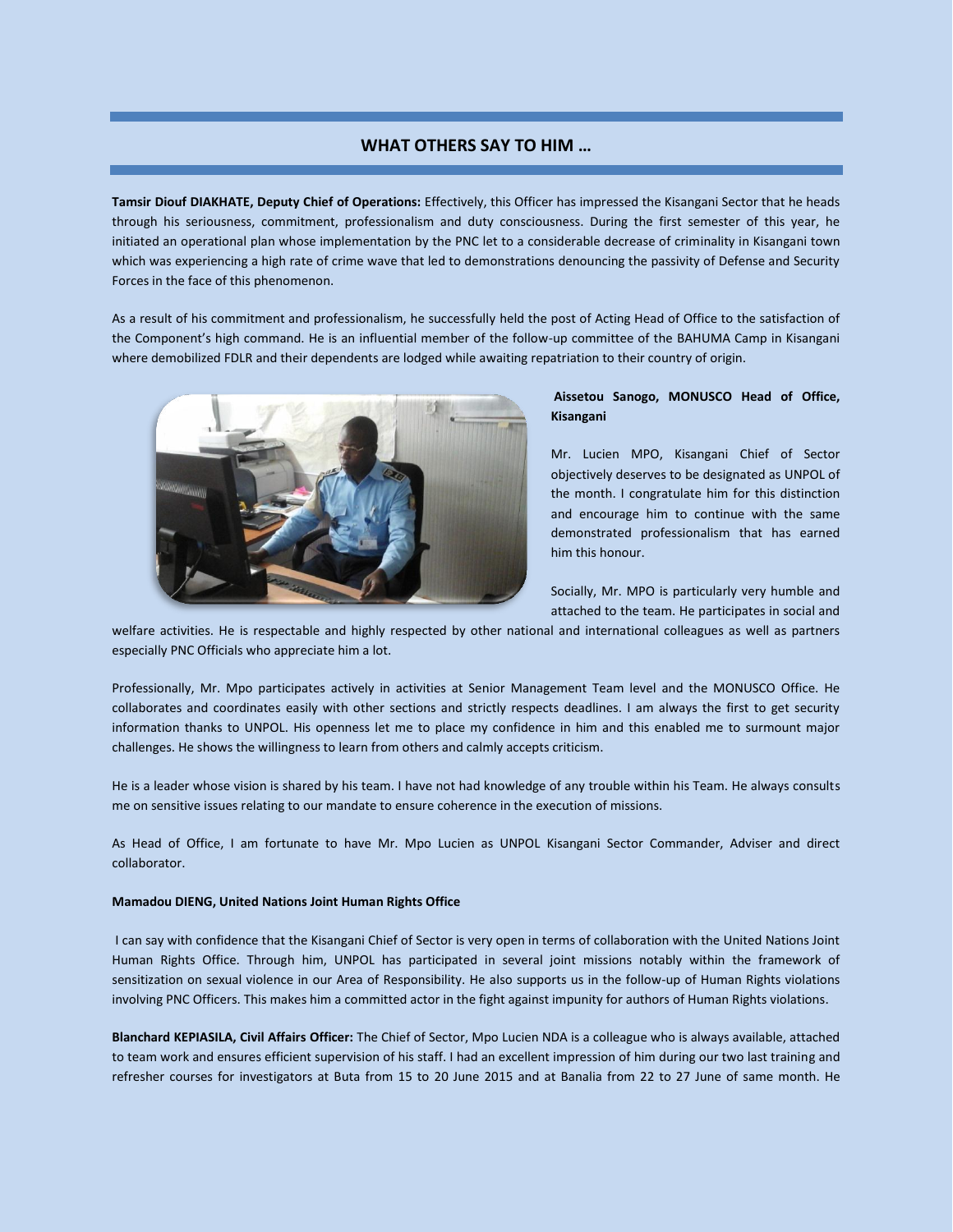# **WHAT OTHERS SAY TO HIM …**

**Tamsir Diouf DIAKHATE, Deputy Chief of Operations:** Effectively, this Officer has impressed the Kisangani Sector that he heads through his seriousness, commitment, professionalism and duty consciousness. During the first semester of this year, he initiated an operational plan whose implementation by the PNC let to a considerable decrease of criminality in Kisangani town which was experiencing a high rate of crime wave that led to demonstrations denouncing the passivity of Defense and Security Forces in the face of this phenomenon.

As a result of his commitment and professionalism, he successfully held the post of Acting Head of Office to the satisfaction of the Component's high command. He is an influential member of the follow-up committee of the BAHUMA Camp in Kisangani where demobilized FDLR and their dependents are lodged while awaiting repatriation to their country of origin.



## **Aissetou Sanogo, MONUSCO Head of Office, Kisangani**

Mr. Lucien MPO, Kisangani Chief of Sector objectively deserves to be designated as UNPOL of the month. I congratulate him for this distinction and encourage him to continue with the same demonstrated professionalism that has earned him this honour.

Socially, Mr. MPO is particularly very humble and attached to the team. He participates in social and

welfare activities. He is respectable and highly respected by other national and international colleagues as well as partners especially PNC Officials who appreciate him a lot.

Professionally, Mr. Mpo participates actively in activities at Senior Management Team level and the MONUSCO Office. He collaborates and coordinates easily with other sections and strictly respects deadlines. I am always the first to get security information thanks to UNPOL. His openness let me to place my confidence in him and this enabled me to surmount major challenges. He shows the willingness to learn from others and calmly accepts criticism.

He is a leader whose vision is shared by his team. I have not had knowledge of any trouble within his Team. He always consults me on sensitive issues relating to our mandate to ensure coherence in the execution of missions.

As Head of Office, I am fortunate to have Mr. Mpo Lucien as UNPOL Kisangani Sector Commander, Adviser and direct collaborator.

#### **Mamadou DIENG, United Nations Joint Human Rights Office**

I can say with confidence that the Kisangani Chief of Sector is very open in terms of collaboration with the United Nations Joint Human Rights Office. Through him, UNPOL has participated in several joint missions notably within the framework of sensitization on sexual violence in our Area of Responsibility. He also supports us in the follow-up of Human Rights violations involving PNC Officers. This makes him a committed actor in the fight against impunity for authors of Human Rights violations.

**Blanchard KEPIASILA, Civil Affairs Officer:** The Chief of Sector, Mpo Lucien NDA is a colleague who is always available, attached to team work and ensures efficient supervision of his staff. I had an excellent impression of him during our two last training and refresher courses for investigators at Buta from 15 to 20 June 2015 and at Banalia from 22 to 27 June of same month. He